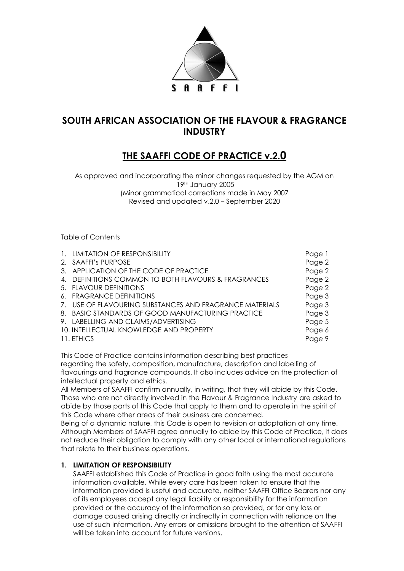

## **SOUTH AFRICAN ASSOCIATION OF THE FLAVOUR & FRAGRANCE INDUSTRY**

# **THE SAAFFI CODE OF PRACTICE v.2.0**

As approved and incorporating the minor changes requested by the AGM on 19th January 2005 (Minor grammatical corrections made in May 2007 Revised and updated v.2.0 – September 2020

Table of Contents

| 1. LIMITATION OF RESPONSIBILITY                         | Page 1 |
|---------------------------------------------------------|--------|
|                                                         |        |
| 2. SAAFFI's PURPOSE                                     | Page 2 |
| 3. APPLICATION OF THE CODE OF PRACTICE                  | Page 2 |
| 4. DEFINITIONS COMMON TO BOTH FLAVOURS & FRAGRANCES     | Page 2 |
| 5. FLAVOUR DEFINITIONS                                  | Page 2 |
| 6. FRAGRANCE DEFINITIONS                                | Page 3 |
| 7. USE OF FLAVOURING SUBSTANCES AND FRAGRANCE MATERIALS | Page 3 |
| 8. BASIC STANDARDS OF GOOD MANUFACTURING PRACTICE       | Page 3 |
| 9. LABELLING AND CLAIMS/ADVERTISING                     | Page 5 |
| 10. INTELLECTUAL KNOWLEDGE AND PROPERTY                 | Page 6 |
| 11. ETHICS                                              | Page 9 |

This Code of Practice contains information describing best practices regarding the safety, composition, manufacture, description and labelling of flavourings and fragrance compounds. It also includes advice on the protection of intellectual property and ethics.

All Members of SAAFFI confirm annually, in writing, that they will abide by this Code. Those who are not directly involved in the Flavour & Fragrance Industry are asked to abide by those parts of this Code that apply to them and to operate in the spirit of this Code where other areas of their business are concerned.

Being of a dynamic nature, this Code is open to revision or adaptation at any time. Although Members of SAAFFI agree annually to abide by this Code of Practice, it does not reduce their obligation to comply with any other local or international regulations that relate to their business operations.

## **1. LIMITATION OF RESPONSIBILITY**

SAAFFI established this Code of Practice in good faith using the most accurate information available. While every care has been taken to ensure that the information provided is useful and accurate, neither SAAFFI Office Bearers nor any of its employees accept any legal liability or responsibility for the information provided or the accuracy of the information so provided, or for any loss or damage caused arising directly or indirectly in connection with reliance on the use of such information. Any errors or omissions brought to the attention of SAAFFI will be taken into account for future versions.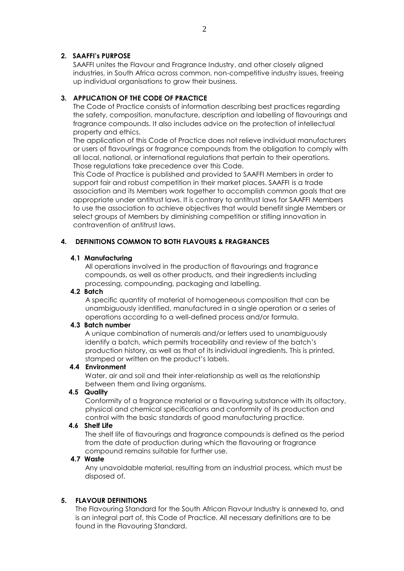#### **2. SAAFFI's PURPOSE**

SAAFFI unites the Flavour and Fragrance Industry, and other closely aligned industries, in South Africa across common, non-competitive industry issues, freeing up individual organisations to grow their business.

#### **3. APPLICATION OF THE CODE OF PRACTICE**

The Code of Practice consists of information describing best practices regarding the safety, composition, manufacture, description and labelling of flavourings and fragrance compounds. It also includes advice on the protection of intellectual property and ethics.

The application of this Code of Practice does not relieve individual manufacturers or users of flavourings or fragrance compounds from the obligation to comply with all local, national, or international regulations that pertain to their operations. Those regulations take precedence over this Code.

This Code of Practice is published and provided to SAAFFI Members in order to support fair and robust competition in their market places. SAAFFI is a trade association and its Members work together to accomplish common goals that are appropriate under antitrust laws. It is contrary to antitrust laws for SAAFFI Members to use the association to achieve objectives that would benefit single Members or select groups of Members by diminishing competition or stifling innovation in contravention of antitrust laws.

## **4. DEFINITIONS COMMON TO BOTH FLAVOURS & FRAGRANCES**

#### **4.1 Manufacturing**

All operations involved in the production of flavourings and fragrance compounds, as well as other products, and their ingredients including processing, compounding, packaging and labelling.

#### **4.2 Batch**

A specific quantity of material of homogeneous composition that can be unambiguously identified, manufactured in a single operation or a series of operations according to a well-defined process and/or formula.

#### **4.3 Batch number**

A unique combination of numerals and/or letters used to unambiguously identify a batch, which permits traceability and review of the batch's production history, as well as that of its individual ingredients. This is printed, stamped or written on the product's labels.

## **4.4 Environment**

Water, air and soil and their inter-relationship as well as the relationship between them and living organisms.

#### **4.5 Quality**

Conformity of a fragrance material or a flavouring substance with its olfactory, physical and chemical specifications and conformity of its production and control with the basic standards of good manufacturing practice.

#### **4.6 Shelf Life**

The shelf life of flavourings and fragrance compounds is defined as the period from the date of production during which the flavouring or fragrance compound remains suitable for further use.

## **4.7 Waste**

Any unavoidable material, resulting from an industrial process, which must be disposed of.

#### **5. FLAVOUR DEFINITIONS**

The Flavouring Standard for the South African Flavour Industry is annexed to, and is an integral part of, this Code of Practice. All necessary definitions are to be found in the Flavouring Standard.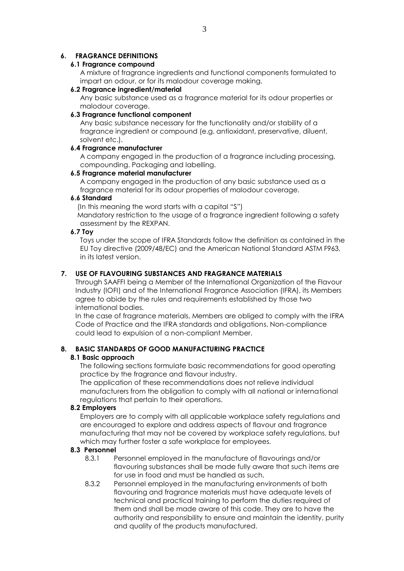## **6. FRAGRANCE DEFINITIONS**

#### **6.1 Fragrance compound**

A mixture of fragrance ingredients and functional components formulated to impart an odour, or for its malodour coverage making.

#### **6.2 Fragrance ingredient/material**

Any basic substance used as a fragrance material for its odour properties or malodour coverage.

## **6.3 Fragrance functional component**

Any basic substance necessary for the functionality and/or stability of a fragrance ingredient or compound (e.g. antioxidant, preservative, diluent, solvent etc.).

#### **6.4 Fragrance manufacturer**

A company engaged in the production of a fragrance including processing, compounding. Packaging and labelling.

#### **6.5 Fragrance material manufacturer**

A company engaged in the production of any basic substance used as a fragrance material for its odour properties of malodour coverage.

## **6.6 Standard**

(In this meaning the word starts with a capital "S")

Mandatory restriction to the usage of a fragrance ingredient following a safety assessment by the REXPAN.

#### **6.7 Toy**

Toys under the scope of IFRA Standards follow the definition as contained in the EU Toy directive (2009/48/EC) and the American National Standard ASTM F963, in its latest version.

#### **7. USE OF FLAVOURING SUBSTANCES AND FRAGRANCE MATERIALS**

Through SAAFFI being a Member of the International Organization of the Flavour Industry (IOFI) and of the International Fragrance Association (IFRA), its Members agree to abide by the rules and requirements established by those two international bodies.

In the case of fragrance materials, Members are obliged to comply with the IFRA Code of Practice and the IFRA standards and obligations. Non-compliance could lead to expulsion of a non-compliant Member.

#### **8. BASIC STANDARDS OF GOOD MANUFACTURING PRACTICE**

#### **8.1 Basic approach**

The following sections formulate basic recommendations for good operating practice by the fragrance and flavour industry.

The application of these recommendations does not relieve individual manufacturers from the obligation to comply with all national or international regulations that pertain to their operations.

#### **8.2 Employers**

Employers are to comply with all applicable workplace safety regulations and are encouraged to explore and address aspects of flavour and fragrance manufacturing that may not be covered by workplace safety regulations, but which may further foster a safe workplace for employees.

#### **8.3 Personnel**

- 8.3.1 Personnel employed in the manufacture of flavourings and/or flavouring substances shall be made fully aware that such items are for use in food and must be handled as such.
- 8.3.2 Personnel employed in the manufacturing environments of both flavouring and fragrance materials must have adequate levels of technical and practical training to perform the duties required of them and shall be made aware of this code. They are to have the authority and responsibility to ensure and maintain the identity, purity and quality of the products manufactured.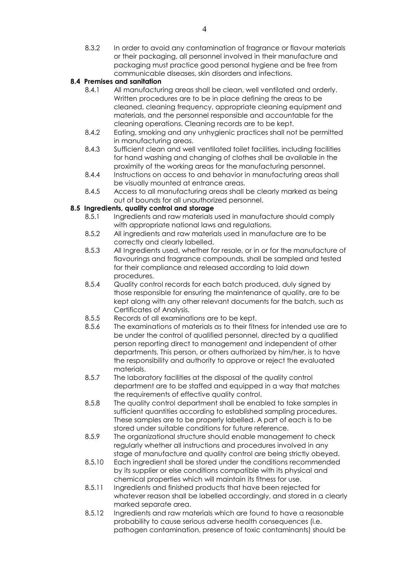8.3.2 In order to avoid any contamination of fragrance or flavour materials or their packaging, all personnel involved in their manufacture and packaging must practice good personal hygiene and be free from communicable diseases, skin disorders and infections.

## **8.4 Premises and sanitation**

- 8.4.1 All manufacturing areas shall be clean, well ventilated and orderly. Written procedures are to be in place defining the areas to be cleaned, cleaning frequency, appropriate cleaning equipment and materials, and the personnel responsible and accountable for the cleaning operations. Cleaning records are to be kept.
- 8.4.2 Eating, smoking and any unhygienic practices shall not be permitted in manufacturing areas.
- 8.4.3 Sufficient clean and well ventilated toilet facilities, including facilities for hand washing and changing of clothes shall be available in the proximity of the working areas for the manufacturing personnel.
- 8.4.4 Instructions on access to and behavior in manufacturing areas shall be visually mounted at entrance areas.
- 8.4.5 Access to all manufacturing areas shall be clearly marked as being out of bounds for all unauthorized personnel.

## **8.5 Ingredients, quality control and storage**

- 8.5.1 Ingredients and raw materials used in manufacture should comply with appropriate national laws and regulations.
- 8.5.2 All ingredients and raw materials used in manufacture are to be correctly and clearly labelled.
- 8.5.3 All Ingredients used, whether for resale, or in or for the manufacture of flavourings and fragrance compounds, shall be sampled and tested for their compliance and released according to laid down procedures.
- 8.5.4 Quality control records for each batch produced, duly signed by those responsible for ensuring the maintenance of quality, are to be kept along with any other relevant documents for the batch, such as Certificates of Analysis.
- 8.5.5 Records of all examinations are to be kept.
- 8.5.6 The examinations of materials as to their fitness for intended use are to be under the control of qualified personnel, directed by a qualified person reporting direct to management and independent of other departments. This person, or others authorized by him/her, is to have the responsibility and authority to approve or reject the evaluated materials.
- 8.5.7 The laboratory facilities at the disposal of the quality control department are to be staffed and equipped in a way that matches the requirements of effective quality control.
- 8.5.8 The quality control department shall be enabled to take samples in sufficient quantities according to established sampling procedures. These samples are to be properly labelled. A part of each is to be stored under suitable conditions for future reference.
- 8.5.9 The organizational structure should enable management to check regularly whether all instructions and procedures involved in any stage of manufacture and quality control are being strictly obeyed.
- 8.5.10 Each ingredient shall be stored under the conditions recommended by its supplier or else conditions compatible with its physical and chemical properties which will maintain its fitness for use.
- 8.5.11 Ingredients and finished products that have been rejected for whatever reason shall be labelled accordingly, and stored in a clearly marked separate area.
- 8.5.12 Ingredients and raw materials which are found to have a reasonable probability to cause serious adverse health consequences (i.e. pathogen contamination, presence of toxic contaminants) should be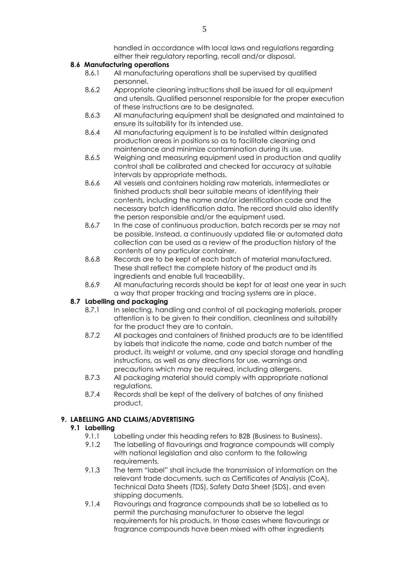handled in accordance with local laws and regulations regarding either their regulatory reporting, recall and/or disposal.

## **8.6 Manufacturing operations**

- 8.6.1 All manufacturing operations shall be supervised by qualified personnel.
- 8.6.2 Appropriate cleaning instructions shall be issued for all equipment and utensils. Qualified personnel responsible for the proper execution of these instructions are to be designated.
- 8.6.3 All manufacturing equipment shall be designated and maintained to ensure its suitability for its intended use.
- 8.6.4 All manufacturing equipment is to be installed within designated production areas in positions so as to facilitate cleaning and maintenance and minimize contamination during its use.
- 8.6.5 Weighing and measuring equipment used in production and quality control shall be calibrated and checked for accuracy at suitable intervals by appropriate methods.
- 8.6.6 All vessels and containers holding raw materials, intermediates or finished products shall bear suitable means of identifying their contents, including the name and/or identification code and the necessary batch identification data. The record should also identify the person responsible and/or the equipment used.
- 8.6.7 In the case of continuous production, batch records per se may not be possible. Instead, a continuously updated file or automated data collection can be used as a review of the production history of the contents of any particular container.
- 8.6.8 Records are to be kept of each batch of material manufactured. These shall reflect the complete history of the product and its ingredients and enable full traceability.
- 8.6.9 All manufacturing records should be kept for at least one year in such a way that proper tracking and tracing systems are in place.

## **8.7 Labelling and packaging**

- 8.7.1 In selecting, handling and control of all packaging materials, proper attention is to be given to their condition, cleanliness and suitability for the product they are to contain.
- 8.7.2 All packages and containers of finished products are to be identified by labels that indicate the name, code and batch number of the product, its weight or volume, and any special storage and handling instructions, as well as any directions for use, warnings and precautions which may be required, including allergens.
- 8.7.3 All packaging material should comply with appropriate national regulations.
- 8.7.4 Records shall be kept of the delivery of batches of any finished product.

## **9. LABELLING AND CLAIMS/ADVERTISING**

## **9.1 Labelling**

- 9.1.1 Labelling under this heading refers to B2B (Business to Business).
- 9.1.2 The labelling of flavourings and fragrance compounds will comply with national legislation and also conform to the following requirements.
- 9.1.3 The term "label" shall include the transmission of information on the relevant trade documents, such as Certificates of Analysis (CoA), Technical Data Sheets (TDS), Safety Data Sheet (SDS), and even shipping documents.
- 9.1.4 Flavourings and fragrance compounds shall be so labelled as to permit the purchasing manufacturer to observe the legal requirements for his products. In those cases where flavourings or fragrance compounds have been mixed with other ingredients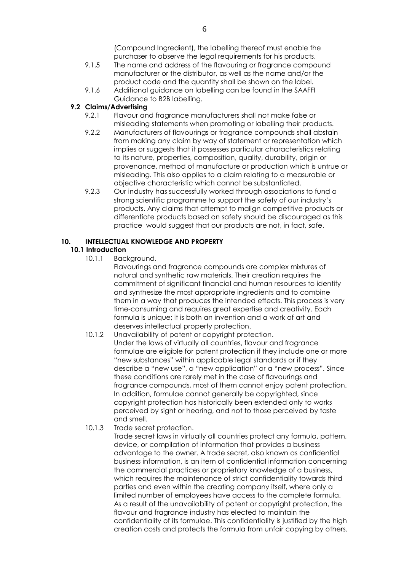(Compound Ingredient), the labelling thereof must enable the purchaser to observe the legal requirements for his products.

- 9.1.5 The name and address of the flavouring or fragrance compound manufacturer or the distributor, as well as the name and/or the product code and the quantity shall be shown on the label.
- 9.1.6 Additional guidance on labelling can be found in the SAAFFI Guidance to B2B labelling.

#### **9.2 Claims/Advertising**

- 9.2.1 Flavour and fragrance manufacturers shall not make false or misleading statements when promoting or labelling their products.
- 9.2.2 Manufacturers of flavourings or fragrance compounds shall abstain from making any claim by way of statement or representation which implies or suggests that it possesses particular characteristics relating to its nature, properties, composition, quality, durability, origin or provenance, method of manufacture or production which is untrue or misleading. This also applies to a claim relating to a measurable or objective characteristic which cannot be substantiated.
- 9.2.3 Our industry has successfully worked through associations to fund a strong scientific programme to support the safety of our industry's products. Any claims that attempt to malign competitive products or differentiate products based on safety should be discouraged as this practice would suggest that our products are not, in fact, safe.

## **10. INTELLECTUAL KNOWLEDGE AND PROPERTY**

## **10.1 Introduction**

10.1.1 Background.

Flavourings and fragrance compounds are complex mixtures of natural and synthetic raw materials. Their creation requires the commitment of significant financial and human resources to identify and synthesize the most appropriate ingredients and to combine them in a way that produces the intended effects. This process is very time-consuming and requires great expertise and creativity. Each formula is unique; it is both an invention and a work of art and deserves intellectual property protection.

- 10.1.2 Unavailability of patent or copyright protection. Under the laws of virtually all countries, flavour and fragrance formulae are eligible for patent protection if they include one or more "new substances" within applicable legal standards or if they describe a "new use", a "new application" or a "new process". Since these conditions are rarely met in the case of flavourings and fragrance compounds, most of them cannot enjoy patent protection. In addition, formulae cannot generally be copyrighted, since copyright protection has historically been extended only to works perceived by sight or hearing, and not to those perceived by taste and smell.
- 10.1.3 Trade secret protection.

Trade secret laws in virtually all countries protect any formula, pattern, device, or compilation of information that provides a business advantage to the owner. A trade secret, also known as confidential business information, is an item of confidential information concerning the commercial practices or proprietary knowledge of a business, which requires the maintenance of strict confidentiality towards third parties and even within the creating company itself, where only a limited number of employees have access to the complete formula. As a result of the unavailability of patent or copyright protection, the flavour and fragrance industry has elected to maintain the confidentiality of its formulae. This confidentiality is justified by the high creation costs and protects the formula from unfair copying by others.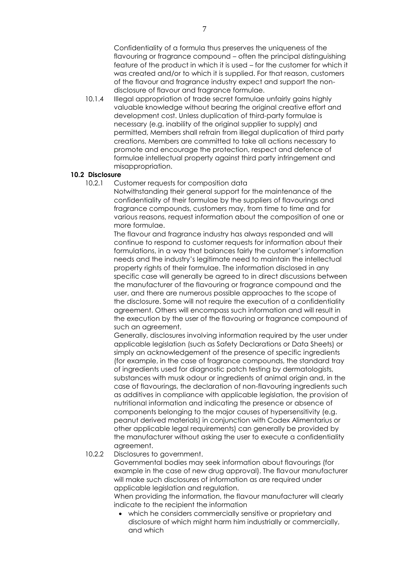Confidentiality of a formula thus preserves the uniqueness of the flavouring or fragrance compound – often the principal distinguishing feature of the product in which it is used – for the customer for which it was created and/or to which it is supplied. For that reason, customers of the flavour and fragrance industry expect and support the nondisclosure of flavour and fragrance formulae.

10.1.4 Illegal appropriation of trade secret formulae unfairly gains highly valuable knowledge without bearing the original creative effort and development cost. Unless duplication of third-party formulae is necessary (e.g. inability of the original supplier to supply) and permitted, Members shall refrain from illegal duplication of third party creations. Members are committed to take all actions necessary to promote and encourage the protection, respect and defence of formulae intellectual property against third party infringement and misappropriation.

## **10.2 Disclosure**

10.2.1 Customer requests for composition data

Notwithstanding their general support for the maintenance of the confidentiality of their formulae by the suppliers of flavourings and fragrance compounds, customers may, from time to time and for various reasons, request information about the composition of one or more formulae.

The flavour and fragrance industry has always responded and will continue to respond to customer requests for information about their formulations, in a way that balances fairly the customer's information needs and the industry's legitimate need to maintain the intellectual property rights of their formulae. The information disclosed in any specific case will generally be agreed to in direct discussions between the manufacturer of the flavouring or fragrance compound and the user, and there are numerous possible approaches to the scope of the disclosure. Some will not require the execution of a confidentiality agreement. Others will encompass such information and will result in the execution by the user of the flavouring or fragrance compound of such an agreement.

Generally, disclosures involving information required by the user under applicable legislation (such as Safety Declarations or Data Sheets) or simply an acknowledgement of the presence of specific ingredients (for example, in the case of fragrance compounds, the standard tray of ingredients used for diagnostic patch testing by dermatologists, substances with musk odour or ingredients of animal origin and, in the case of flavourings, the declaration of non-flavouring ingredients such as additives in compliance with applicable legislation, the provision of nutritional information and indicating the presence or absence of components belonging to the major causes of hypersensitivity (e.g. peanut derived materials) in conjunction with Codex Alimentarius or other applicable legal requirements) can generally be provided by the manufacturer without asking the user to execute a confidentiality agreement.

#### 10.2.2 Disclosures to government.

Governmental bodies may seek information about flavourings (for example in the case of new drug approval). The flavour manufacturer will make such disclosures of information as are required under applicable legislation and regulation.

When providing the information, the flavour manufacturer will clearly indicate to the recipient the information

 which he considers commercially sensitive or proprietary and disclosure of which might harm him industrially or commercially, and which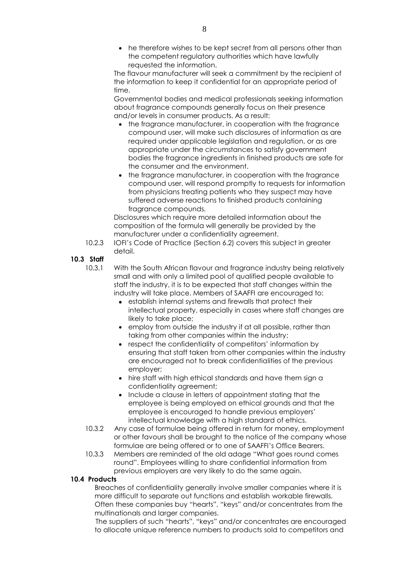• he therefore wishes to be kept secret from all persons other than the competent regulatory authorities which have lawfully requested the information.

The flavour manufacturer will seek a commitment by the recipient of the information to keep it confidential for an appropriate period of time.

Governmental bodies and medical professionals seeking information about fragrance compounds generally focus on their presence and/or levels in consumer products. As a result:

- the fragrance manufacturer, in cooperation with the fragrance compound user, will make such disclosures of information as are required under applicable legislation and regulation, or as are appropriate under the circumstances to satisfy government bodies the fragrance ingredients in finished products are safe for the consumer and the environment.
- the fragrance manufacturer, in cooperation with the fragrance compound user, will respond promptly to requests for information from physicians treating patients who they suspect may have suffered adverse reactions to finished products containing fragrance compounds.

Disclosures which require more detailed information about the composition of the formula will generally be provided by the manufacturer under a confidentiality agreement.

10.2.3 IOFI's Code of Practice (Section 6.2) covers this subject in greater detail.

#### **10.3 Staff**

- 10.3.1 With the South African flavour and fragrance industry being relatively small and with only a limited pool of qualified people available to staff the industry, it is to be expected that staff changes within the industry will take place. Members of SAAFFI are encouraged to:
	- establish internal systems and firewalls that protect their intellectual property, especially in cases where staff changes are likely to take place;
	- employ from outside the industry if at all possible, rather than taking from other companies within the industry;
	- respect the confidentiality of competitors' information by ensuring that staff taken from other companies within the industry are encouraged not to break confidentialities of the previous employer;
	- hire staff with high ethical standards and have them sign a confidentiality agreement;
	- Include a clause in letters of appointment stating that the employee is being employed on ethical grounds and that the employee is encouraged to handle previous employers' intellectual knowledge with a high standard of ethics.
- 10.3.2 Any case of formulae being offered in return for money, employment or other favours shall be brought to the notice of the company whose formulae are being offered or to one of SAAFFI's Office Bearers.
- 10.3.3 Members are reminded of the old adage "What goes round comes round". Employees willing to share confidential information from previous employers are very likely to do the same again.

## **10.4 Products**

Breaches of confidentiality generally involve smaller companies where it is more difficult to separate out functions and establish workable firewalls. Often these companies buy "hearts", "keys" and/or concentrates from the multinationals and larger companies.

 The suppliers of such "hearts", "keys" and/or concentrates are encouraged to allocate unique reference numbers to products sold to competitors and